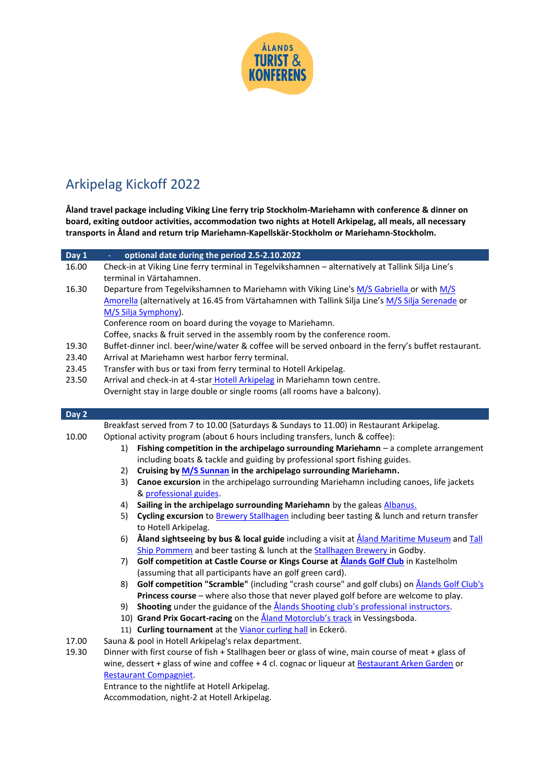

## Arkipelag Kickoff 2022

**Åland travel package including Viking Line ferry trip Stockholm-Mariehamn with conference & dinner on board, exiting outdoor activities, accommodation two nights at Hotell Arkipelag, all meals, all necessary transports in Åland and return trip Mariehamn-Kapellskär-Stockholm or Mariehamn-Stockholm.**

| Day 1 | optional date during the period 2.5-2.10.2022                                                            |  |  |  |
|-------|----------------------------------------------------------------------------------------------------------|--|--|--|
| 16.00 | Check-in at Viking Line ferry terminal in Tegelvikshamnen - alternatively at Tallink Silja Line's        |  |  |  |
|       | terminal in Värtahamnen.                                                                                 |  |  |  |
| 16.30 | Departure from Tegelvikshamnen to Mariehamn with Viking Line's M/S Gabriella or with M/S                 |  |  |  |
|       | Amorella (alternatively at 16.45 from Värtahamnen with Tallink Silja Line's M/S Silja Serenade or        |  |  |  |
|       | M/S Silja Symphony).                                                                                     |  |  |  |
|       | Conference room on board during the voyage to Mariehamn.                                                 |  |  |  |
|       | Coffee, snacks & fruit served in the assembly room by the conference room.                               |  |  |  |
| 19.30 | Buffet-dinner incl. beer/wine/water & coffee will be served onboard in the ferry's buffet restaurant.    |  |  |  |
| 23.40 | Arrival at Mariehamn west harbor ferry terminal.                                                         |  |  |  |
| 23.45 | Transfer with bus or taxi from ferry terminal to Hotell Arkipelag.                                       |  |  |  |
| 23.50 | Arrival and check-in at 4-star Hotell Arkipelag in Mariehamn town centre.                                |  |  |  |
|       | Overnight stay in large double or single rooms (all rooms have a balcony).                               |  |  |  |
|       |                                                                                                          |  |  |  |
| Day 2 |                                                                                                          |  |  |  |
|       | Breakfast served from 7 to 10.00 (Saturdays & Sundays to 11.00) in Restaurant Arkipelag.                 |  |  |  |
| 10.00 | Optional activity program (about 6 hours including transfers, lunch & coffee):                           |  |  |  |
|       | Fishing competition in the archipelago surrounding Mariehamn - a complete arrangement<br>1)              |  |  |  |
|       | including boats & tackle and guiding by professional sport fishing guides.                               |  |  |  |
|       | Cruising by M/S Sunnan in the archipelago surrounding Mariehamn.<br>2)                                   |  |  |  |
|       | Canoe excursion in the archipelago surrounding Mariehamn including canoes, life jackets<br>3)            |  |  |  |
|       | & professional guides.                                                                                   |  |  |  |
|       | Sailing in the archipelago surrounding Mariehamn by the galeas Albanus.<br>4)                            |  |  |  |
|       | Cycling excursion to Brewery Stallhagen including beer tasting & lunch and return transfer<br>5)         |  |  |  |
|       | to Hotell Arkipelag.                                                                                     |  |  |  |
|       | Åland sightseeing by bus & local guide including a visit at <u>Åland Maritime Museum</u> and Tall<br>6)  |  |  |  |
|       | Ship Pommern and beer tasting & lunch at the Stallhagen Brewery in Godby.                                |  |  |  |
|       | Golf competition at Castle Course or Kings Course at <b>Ålands Golf Club</b> in Kastelholm<br>7)         |  |  |  |
|       | (assuming that all participants have an golf green card).                                                |  |  |  |
|       | Golf competition "Scramble" (including "crash course" and golf clubs) on <b>Alands Golf Club's</b><br>8) |  |  |  |
|       | Princess course - where also those that never played golf before are welcome to play.                    |  |  |  |
|       | Shooting under the guidance of the <b>Alands Shooting club's professional instructors</b> .<br>9)        |  |  |  |
|       | 10) Grand Prix Gocart-racing on the <i>Åland Motorclub's track</i> in Vessingsboda.                      |  |  |  |
|       | 11) Curling tournament at the Vianor curling hall in Eckerö.                                             |  |  |  |
| 17.00 | Sauna & pool in Hotell Arkipelag's relax department.                                                     |  |  |  |
| 19.30 | Dinner with first course of fish + Stallhagen beer or glass of wine, main course of meat + glass of      |  |  |  |
|       | wine, dessert + glass of wine and coffee + 4 cl. cognac or liqueur at Restaurant Arken Garden or         |  |  |  |
|       | <b>Restaurant Compagniet.</b>                                                                            |  |  |  |
|       | Entrance to the nightlife at Hotell Arkipelag.                                                           |  |  |  |
|       | Accommodation, night-2 at Hotell Arkipelag.                                                              |  |  |  |